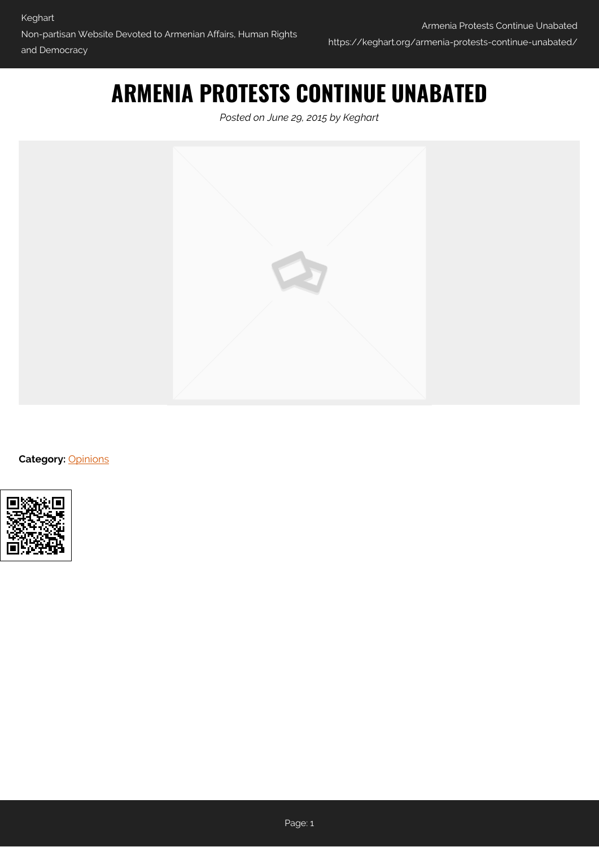# **ARMENIA PROTESTS CONTINUE UNABATED**

*Posted on June 29, 2015 by Keghart*



**Category:** [Opinions](https://keghart.org/category/opinions/)

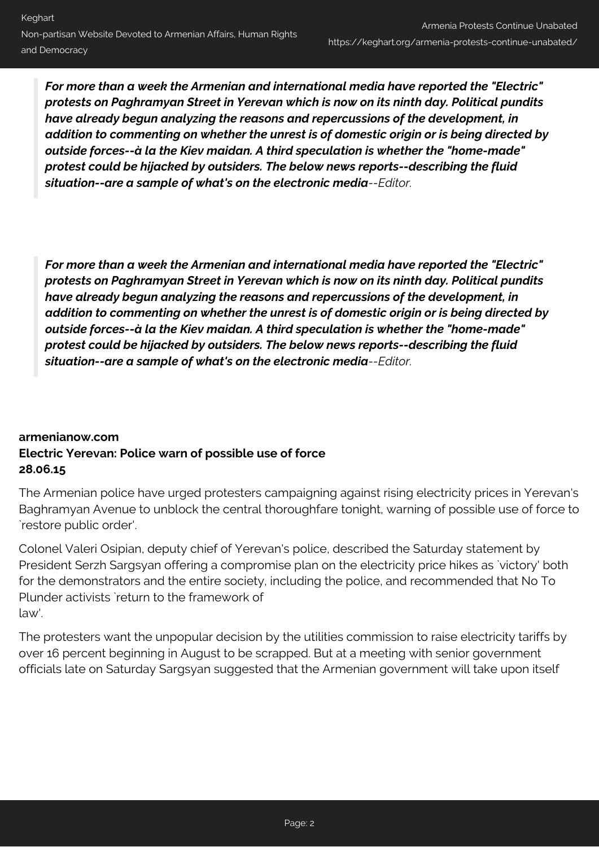*For more than a week the Armenian and international media have reported the "Electric" protests on Paghramyan Street in Yerevan which is now on its ninth day. Political pundits have already begun analyzing the reasons and repercussions of the development, in addition to commenting on whether the unrest is of domestic origin or is being directed by outside forces--à la the Kiev maidan. A third speculation is whether the "home-made" protest could be hijacked by outsiders. The below news reports--describing the fluid situation--are a sample of what's on the electronic media--Editor.*

*For more than a week the Armenian and international media have reported the "Electric" protests on Paghramyan Street in Yerevan which is now on its ninth day. Political pundits have already begun analyzing the reasons and repercussions of the development, in addition to commenting on whether the unrest is of domestic origin or is being directed by outside forces--à la the Kiev maidan. A third speculation is whether the "home-made" protest could be hijacked by outsiders. The below news reports--describing the fluid situation--are a sample of what's on the electronic media--Editor.*

# **armenianow.com Electric Yerevan: Police warn of possible use of force 28.06.15**

The Armenian police have urged protesters campaigning against rising electricity prices in Yerevan's Baghramyan Avenue to unblock the central thoroughfare tonight, warning of possible use of force to `restore public order'.

Colonel Valeri Osipian, deputy chief of Yerevan's police, described the Saturday statement by President Serzh Sargsyan offering a compromise plan on the electricity price hikes as `victory' both for the demonstrators and the entire society, including the police, and recommended that No To Plunder activists `return to the framework of law'.

The protesters want the unpopular decision by the utilities commission to raise electricity tariffs by over 16 percent beginning in August to be scrapped. But at a meeting with senior government officials late on Saturday Sargsyan suggested that the Armenian government will take upon itself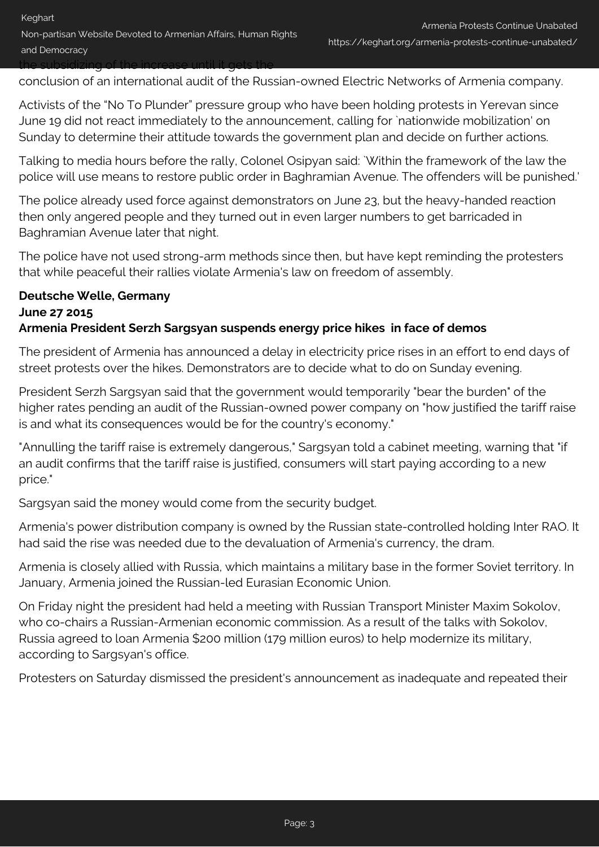conclusion of an international audit of the Russian-owned Electric Networks of Armenia company.

Activists of the "No To Plunder" pressure group who have been holding protests in Yerevan since June 19 did not react immediately to the announcement, calling for `nationwide mobilization' on Sunday to determine their attitude towards the government plan and decide on further actions.

Talking to media hours before the rally, Colonel Osipyan said: `Within the framework of the law the police will use means to restore public order in Baghramian Avenue. The offenders will be punished.'

The police already used force against demonstrators on June 23, but the heavy-handed reaction then only angered people and they turned out in even larger numbers to get barricaded in Baghramian Avenue later that night.

The police have not used strong-arm methods since then, but have kept reminding the protesters that while peaceful their rallies violate Armenia's law on freedom of assembly.

### **Deutsche Welle, Germany June 27 2015 Armenia President Serzh Sargsyan suspends energy price hikes in face of demos**

The president of Armenia has announced a delay in electricity price rises in an effort to end days of street protests over the hikes. Demonstrators are to decide what to do on Sunday evening.

President Serzh Sargsyan said that the government would temporarily "bear the burden" of the higher rates pending an audit of the Russian-owned power company on "how justified the tariff raise is and what its consequences would be for the country's economy."

"Annulling the tariff raise is extremely dangerous," Sargsyan told a cabinet meeting, warning that "if an audit confirms that the tariff raise is justified, consumers will start paying according to a new price."

Sargsyan said the money would come from the security budget.

Armenia's power distribution company is owned by the Russian state-controlled holding Inter RAO. It had said the rise was needed due to the devaluation of Armenia's currency, the dram.

Armenia is closely allied with Russia, which maintains a military base in the former Soviet territory. In January, Armenia joined the Russian-led Eurasian Economic Union.

On Friday night the president had held a meeting with Russian Transport Minister Maxim Sokolov, who co-chairs a Russian-Armenian economic commission. As a result of the talks with Sokolov, Russia agreed to loan Armenia \$200 million (179 million euros) to help modernize its military, according to Sargsyan's office.

Protesters on Saturday dismissed the president's announcement as inadequate and repeated their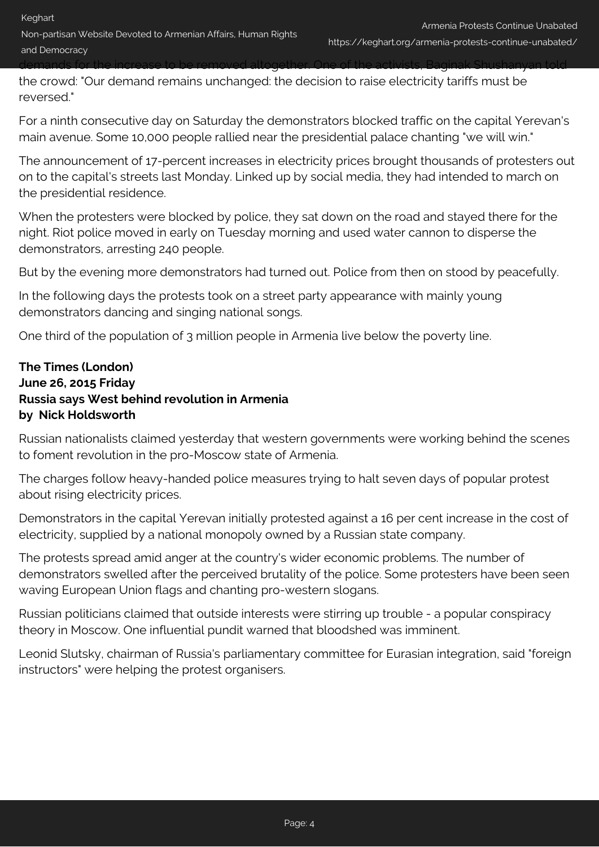Non-partisan Website Devoted to Armenian Affairs, Human Rights and Democracy

demands for the increase to be removed altogether. One of the activists, Baginak Shushanyan told

the crowd: "Our demand remains unchanged: the decision to raise electricity tariffs must be reversed."

For a ninth consecutive day on Saturday the demonstrators blocked traffic on the capital Yerevan's main avenue. Some 10,000 people rallied near the presidential palace chanting "we will win."

The announcement of 17-percent increases in electricity prices brought thousands of protesters out on to the capital's streets last Monday. Linked up by social media, they had intended to march on the presidential residence.

When the protesters were blocked by police, they sat down on the road and stayed there for the night. Riot police moved in early on Tuesday morning and used water cannon to disperse the demonstrators, arresting 240 people.

But by the evening more demonstrators had turned out. Police from then on stood by peacefully.

In the following days the protests took on a street party appearance with mainly young demonstrators dancing and singing national songs.

One third of the population of 3 million people in Armenia live below the poverty line.

# **The Times (London) June 26, 2015 Friday Russia says West behind revolution in Armenia by Nick Holdsworth**

Russian nationalists claimed yesterday that western governments were working behind the scenes to foment revolution in the pro-Moscow state of Armenia.

The charges follow heavy-handed police measures trying to halt seven days of popular protest about rising electricity prices.

Demonstrators in the capital Yerevan initially protested against a 16 per cent increase in the cost of electricity, supplied by a national monopoly owned by a Russian state company.

The protests spread amid anger at the country's wider economic problems. The number of demonstrators swelled after the perceived brutality of the police. Some protesters have been seen waving European Union flags and chanting pro-western slogans.

Russian politicians claimed that outside interests were stirring up trouble - a popular conspiracy theory in Moscow. One influential pundit warned that bloodshed was imminent.

Leonid Slutsky, chairman of Russia's parliamentary committee for Eurasian integration, said "foreign instructors" were helping the protest organisers.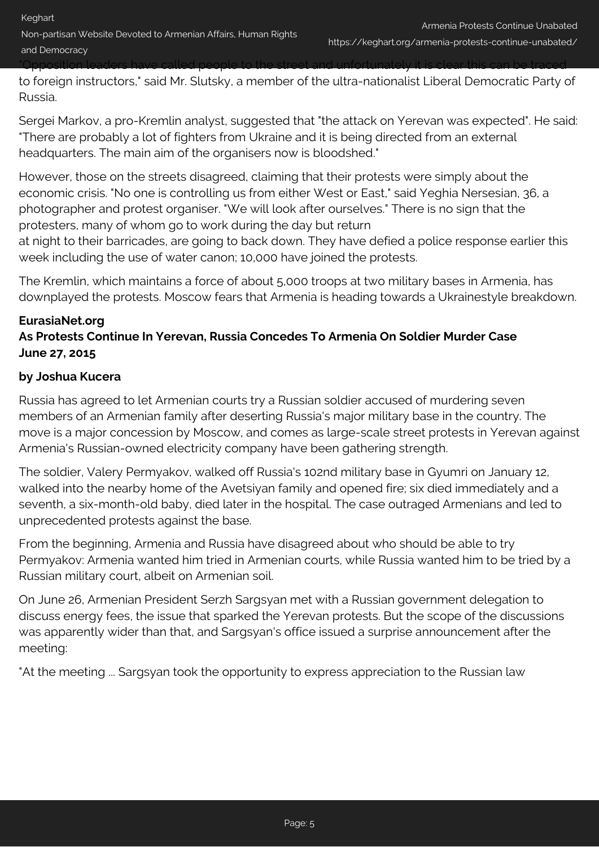Non-partisan Website Devoted to Armenian Affairs, Human Rights and Democracy

"Opposition leaders have called people to the street and unfortunately it is clear this can be traced

to foreign instructors," said Mr. Slutsky, a member of the ultra-nationalist Liberal Democratic Party of Russia.

Sergei Markov, a pro-Kremlin analyst, suggested that "the attack on Yerevan was expected". He said: "There are probably a lot of fighters from Ukraine and it is being directed from an external headquarters. The main aim of the organisers now is bloodshed."

However, those on the streets disagreed, claiming that their protests were simply about the economic crisis. "No one is controlling us from either West or East," said Yeghia Nersesian, 36, a photographer and protest organiser. "We will look after ourselves." There is no sign that the protesters, many of whom go to work during the day but return

at night to their barricades, are going to back down. They have defied a police response earlier this week including the use of water canon; 10,000 have joined the protests.

The Kremlin, which maintains a force of about 5,000 troops at two military bases in Armenia, has downplayed the protests. Moscow fears that Armenia is heading towards a Ukrainestyle breakdown.

### **EurasiaNet.org**

# **As Protests Continue In Yerevan, Russia Concedes To Armenia On Soldier Murder Case June 27, 2015**

#### **by Joshua Kucera**

Russia has agreed to let Armenian courts try a Russian soldier accused of murdering seven members of an Armenian family after deserting Russia's major military base in the country. The move is a major concession by Moscow, and comes as large-scale street protests in Yerevan against Armenia's Russian-owned electricity company have been gathering strength.

The soldier, Valery Permyakov, walked off Russia's 102nd military base in Gyumri on January 12, walked into the nearby home of the Avetsiyan family and opened fire; six died immediately and a seventh, a six-month-old baby, died later in the hospital. The case outraged Armenians and led to unprecedented protests against the base.

From the beginning, Armenia and Russia have disagreed about who should be able to try Permyakov: Armenia wanted him tried in Armenian courts, while Russia wanted him to be tried by a Russian military court, albeit on Armenian soil.

On June 26, Armenian President Serzh Sargsyan met with a Russian government delegation to discuss energy fees, the issue that sparked the Yerevan protests. But the scope of the discussions was apparently wider than that, and Sargsyan's office issued a surprise announcement after the meeting:

"At the meeting ... Sargsyan took the opportunity to express appreciation to the Russian law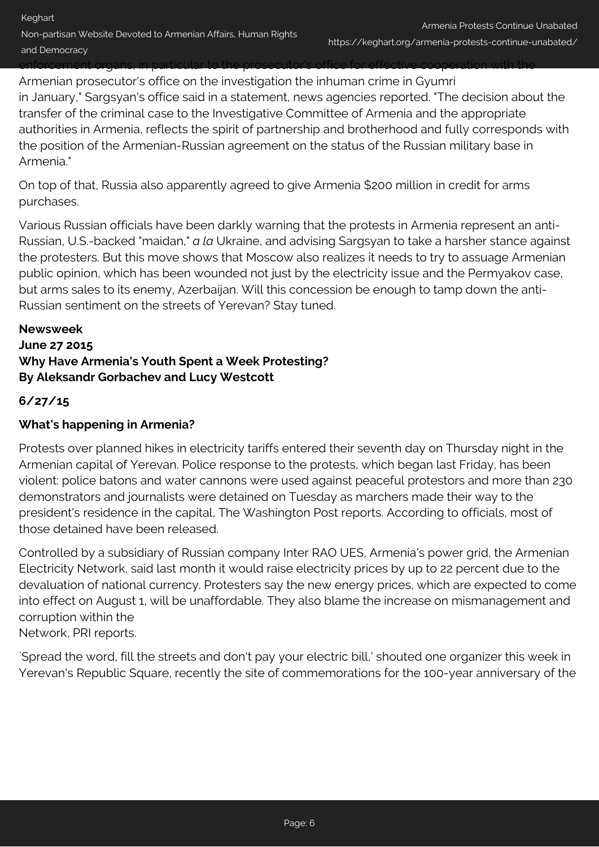enforcement organs, in particular to the prosecutor's office for effective cooperation with the

Armenian prosecutor's office on the investigation the inhuman crime in Gyumri in January," Sargsyan's office said in a statement, news agencies reported. "The decision about the transfer of the criminal case to the Investigative Committee of Armenia and the appropriate authorities in Armenia, reflects the spirit of partnership and brotherhood and fully corresponds with the position of the Armenian-Russian agreement on the status of the Russian military base in Armenia."

On top of that, Russia also apparently agreed to give Armenia \$200 million in credit for arms purchases.

Various Russian officials have been darkly warning that the protests in Armenia represent an anti-Russian, U.S.-backed "maidan," *a la* Ukraine, and advising Sargsyan to take a harsher stance against the protesters. But this move shows that Moscow also realizes it needs to try to assuage Armenian public opinion, which has been wounded not just by the electricity issue and the Permyakov case, but arms sales to its enemy, Azerbaijan. Will this concession be enough to tamp down the anti-Russian sentiment on the streets of Yerevan? Stay tuned.

# **Newsweek June 27 2015 Why Have Armenia's Youth Spent a Week Protesting? By Aleksandr Gorbachev and Lucy Westcott**

### **6/27/15**

### **What's happening in Armenia?**

Protests over planned hikes in electricity tariffs entered their seventh day on Thursday night in the Armenian capital of Yerevan. Police response to the protests, which began last Friday, has been violent: police batons and water cannons were used against peaceful protestors and more than 230 demonstrators and journalists were detained on Tuesday as marchers made their way to the president's residence in the capital, The Washington Post reports. According to officials, most of those detained have been released.

Controlled by a subsidiary of Russian company Inter RAO UES, Armenia's power grid, the Armenian Electricity Network, said last month it would raise electricity prices by up to 22 percent due to the devaluation of national currency. Protesters say the new energy prices, which are expected to come into effect on August 1, will be unaffordable. They also blame the increase on mismanagement and corruption within the Network, PRI reports.

`Spread the word, fill the streets and don't pay your electric bill,' shouted one organizer this week in Yerevan's Republic Square, recently the site of commemorations for the 100-year anniversary of the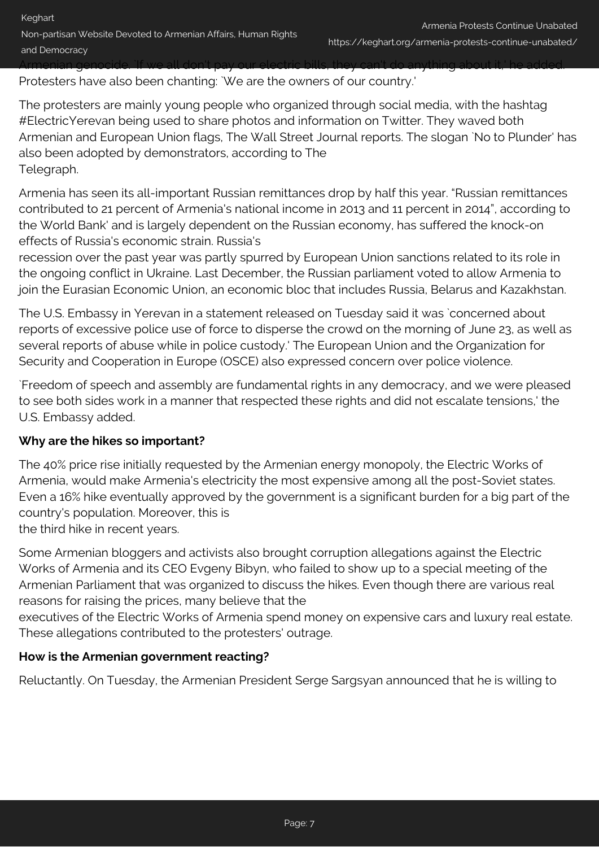Protesters have also been chanting: `We are the owners of our country.'

The protesters are mainly young people who organized through social media, with the hashtag #ElectricYerevan being used to share photos and information on Twitter. They waved both Armenian and European Union flags, The Wall Street Journal reports. The slogan `No to Plunder' has also been adopted by demonstrators, according to The Telegraph.

Armenia has seen its all-important Russian remittances drop by half this year. "Russian remittances contributed to 21 percent of Armenia's national income in 2013 and 11 percent in 2014", according to the World Bank' and is largely dependent on the Russian economy, has suffered the knock-on effects of Russia's economic strain. Russia's

recession over the past year was partly spurred by European Union sanctions related to its role in the ongoing conflict in Ukraine. Last December, the Russian parliament voted to allow Armenia to join the Eurasian Economic Union, an economic bloc that includes Russia, Belarus and Kazakhstan.

The U.S. Embassy in Yerevan in a statement released on Tuesday said it was `concerned about reports of excessive police use of force to disperse the crowd on the morning of June 23, as well as several reports of abuse while in police custody.' The European Union and the Organization for Security and Cooperation in Europe (OSCE) also expressed concern over police violence.

`Freedom of speech and assembly are fundamental rights in any democracy, and we were pleased to see both sides work in a manner that respected these rights and did not escalate tensions,' the U.S. Embassy added.

# **Why are the hikes so important?**

The 40% price rise initially requested by the Armenian energy monopoly, the Electric Works of Armenia, would make Armenia's electricity the most expensive among all the post-Soviet states. Even a 16% hike eventually approved by the government is a significant burden for a big part of the country's population. Moreover, this is the third hike in recent years.

Some Armenian bloggers and activists also brought corruption allegations against the Electric Works of Armenia and its CEO Evgeny Bibyn, who failed to show up to a special meeting of the Armenian Parliament that was organized to discuss the hikes. Even though there are various real reasons for raising the prices, many believe that the

executives of the Electric Works of Armenia spend money on expensive cars and luxury real estate. These allegations contributed to the protesters' outrage.

# **How is the Armenian government reacting?**

Reluctantly. On Tuesday, the Armenian President Serge Sargsyan announced that he is willing to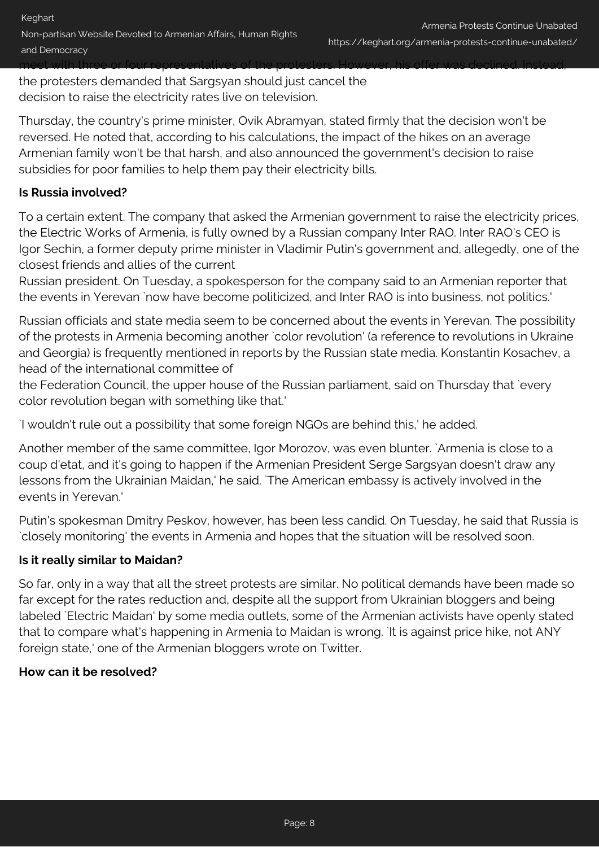the protesters demanded that Sargsyan should just cancel the decision to raise the electricity rates live on television.

Thursday, the country's prime minister, Ovik Abramyan, stated firmly that the decision won't be reversed. He noted that, according to his calculations, the impact of the hikes on an average Armenian family won't be that harsh, and also announced the government's decision to raise subsidies for poor families to help them pay their electricity bills.

# **Is Russia involved?**

To a certain extent. The company that asked the Armenian government to raise the electricity prices, the Electric Works of Armenia, is fully owned by a Russian company Inter RAO. Inter RAO's CEO is Igor Sechin, a former deputy prime minister in Vladimir Putin's government and, allegedly, one of the closest friends and allies of the current

Russian president. On Tuesday, a spokesperson for the company said to an Armenian reporter that the events in Yerevan `now have become politicized, and Inter RAO is into business, not politics.'

Russian officials and state media seem to be concerned about the events in Yerevan. The possibility of the protests in Armenia becoming another `color revolution' (a reference to revolutions in Ukraine and Georgia) is frequently mentioned in reports by the Russian state media. Konstantin Kosachev, a head of the international committee of

the Federation Council, the upper house of the Russian parliament, said on Thursday that `every color revolution began with something like that.'

`I wouldn't rule out a possibility that some foreign NGOs are behind this,' he added.

Another member of the same committee, Igor Morozov, was even blunter. `Armenia is close to a coup d'etat, and it's going to happen if the Armenian President Serge Sargsyan doesn't draw any lessons from the Ukrainian Maidan,' he said. `The American embassy is actively involved in the events in Yerevan.'

Putin's spokesman Dmitry Peskov, however, has been less candid. On Tuesday, he said that Russia is `closely monitoring' the events in Armenia and hopes that the situation will be resolved soon.

### **Is it really similar to Maidan?**

So far, only in a way that all the street protests are similar. No political demands have been made so far except for the rates reduction and, despite all the support from Ukrainian bloggers and being labeled `Electric Maidan' by some media outlets, some of the Armenian activists have openly stated that to compare what's happening in Armenia to Maidan is wrong. `It is against price hike, not ANY foreign state,' one of the Armenian bloggers wrote on Twitter.

### **How can it be resolved?**